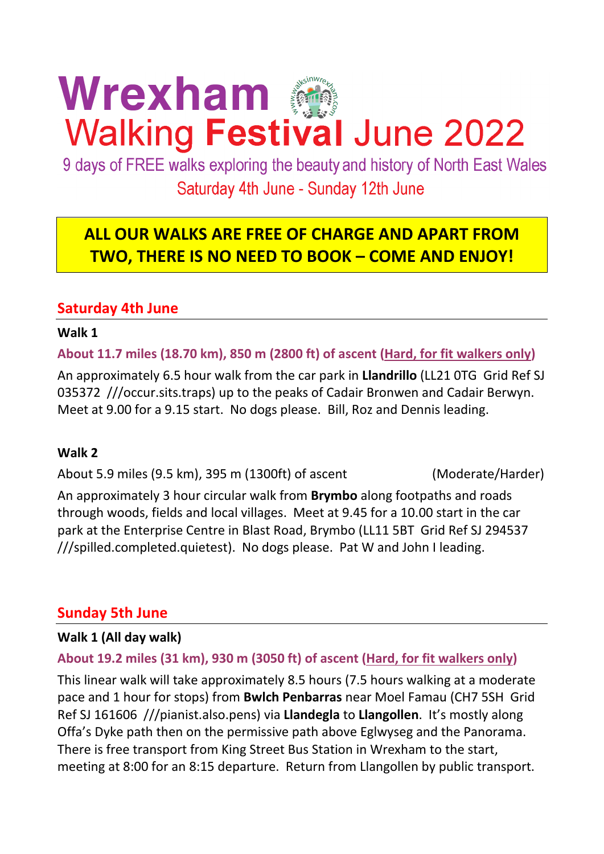# Wrexham **Walking Festival June 2022**

9 days of FREE walks exploring the beauty and history of North East Wales Saturday 4th June - Sunday 12th June

# **ALL OUR WALKS ARE FREE OF CHARGE AND APART FROM TWO, THERE IS NO NEED TO BOOK – COME AND ENJOY!**

# **Saturday 4th June**

#### **Walk 1**

**About 11.7 miles (18.70 km), 850 m (2800 ft) of ascent (Hard, for fit walkers only)**

An approximately 6.5 hour walk from the car park in **Llandrillo** (LL21 0TG Grid Ref SJ 035372 ///occur.sits.traps) up to the peaks of Cadair Bronwen and Cadair Berwyn. Meet at 9.00 for a 9.15 start. No dogs please. Bill, Roz and Dennis leading.

#### **Walk 2**

About 5.9 miles (9.5 km), 395 m (1300ft) of ascent (Moderate/Harder)

An approximately 3 hour circular walk from **Brymbo** along footpaths and roads through woods, fields and local villages. Meet at 9.45 for a 10.00 start in the car park at the Enterprise Centre in Blast Road, Brymbo (LL11 5BT Grid Ref SJ 294537 ///spilled.completed.quietest). No dogs please. Pat W and John I leading.

# **Sunday 5th June**

#### **Walk 1 (All day walk)**

# **About 19.2 miles (31 km), 930 m (3050 ft) of ascent (Hard, for fit walkers only)**

This linear walk will take approximately 8.5 hours (7.5 hours walking at a moderate pace and 1 hour for stops) from **Bwlch Penbarras** near Moel Famau (CH7 5SH Grid Ref SJ 161606 ///pianist.also.pens) via **Llandegla** to **Llangollen**. It's mostly along Offa's Dyke path then on the permissive path above Eglwyseg and the Panorama. There is free transport from King Street Bus Station in Wrexham to the start, meeting at 8:00 for an 8:15 departure. Return from Llangollen by public transport.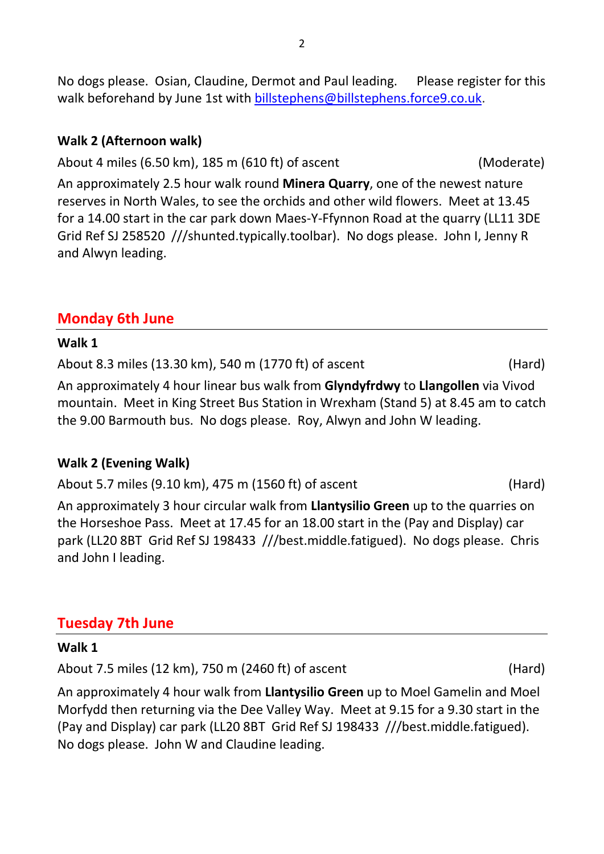No dogs please. Osian, Claudine, Dermot and Paul leading. Please register for this walk beforehand by June 1st with [billstephens@billstephens.force9.co.uk.](mailto:billstephens@billstephens.force9.co.uk)

# **Walk 2 (Afternoon walk)**

About 4 miles (6.50 km), 185 m (610 ft) of ascent (Moderate)

An approximately 2.5 hour walk round **Minera Quarry**, one of the newest nature reserves in North Wales, to see the orchids and other wild flowers. Meet at 13.45 for a 14.00 start in the car park down Maes-Y-Ffynnon Road at the quarry (LL11 3DE Grid Ref SJ 258520 ///shunted.typically.toolbar). No dogs please. John I, Jenny R and Alwyn leading.

# **Monday 6th June**

#### **Walk 1**

About 8.3 miles (13.30 km), 540 m (1770 ft) of ascent (Hard)

An approximately 4 hour linear bus walk from **Glyndyfrdwy** to **Llangollen** via Vivod mountain. Meet in King Street Bus Station in Wrexham (Stand 5) at 8.45 am to catch the 9.00 Barmouth bus. No dogs please. Roy, Alwyn and John W leading.

# **Walk 2 (Evening Walk)**

About 5.7 miles (9.10 km), 475 m (1560 ft) of ascent (Hard)

An approximately 3 hour circular walk from **Llantysilio Green** up to the quarries on the Horseshoe Pass. Meet at 17.45 for an 18.00 start in the (Pay and Display) car park (LL20 8BT Grid Ref SJ 198433 ///best.middle.fatigued). No dogs please. Chris and John I leading.

# **Tuesday 7th June**

#### **Walk 1**

About 7.5 miles (12 km), 750 m (2460 ft) of ascent (Hard)

An approximately 4 hour walk from **Llantysilio Green** up to Moel Gamelin and Moel Morfydd then returning via the Dee Valley Way. Meet at 9.15 for a 9.30 start in the (Pay and Display) car park (LL20 8BT Grid Ref SJ 198433 ///best.middle.fatigued). No dogs please. John W and Claudine leading.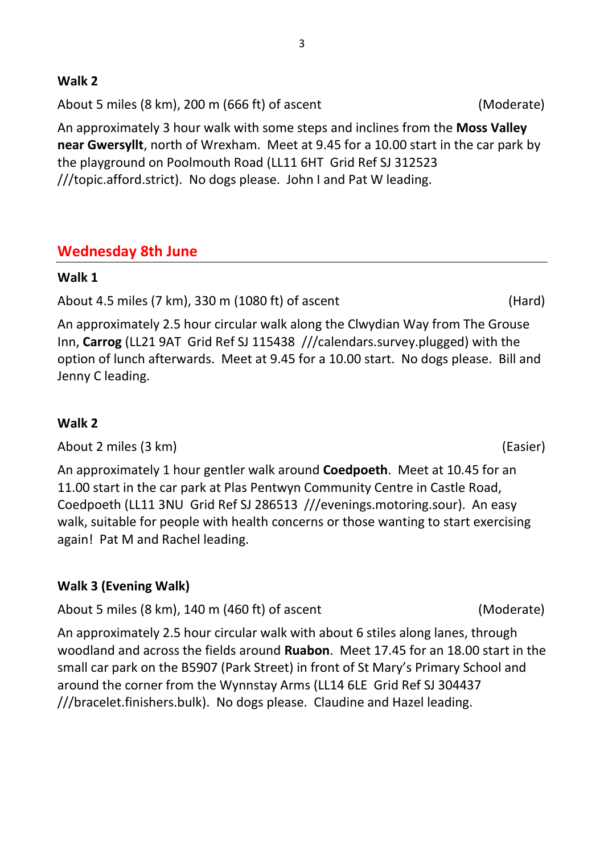### **Walk 2**

About 5 miles (8 km), 200 m (666 ft) of ascent (Moderate)

An approximately 3 hour walk with some steps and inclines from the **Moss Valley near Gwersyllt**, north of Wrexham. Meet at 9.45 for a 10.00 start in the car park by the playground on Poolmouth Road (LL11 6HT Grid Ref SJ 312523 ///topic.afford.strict). No dogs please. John I and Pat W leading.

# **Wednesday 8th June**

# **Walk 1**

About 4.5 miles (7 km), 330 m (1080 ft) of ascent (Hard)

An approximately 2.5 hour circular walk along the Clwydian Way from The Grouse Inn, **Carrog** (LL21 9AT Grid Ref SJ 115438 ///calendars.survey.plugged) with the option of lunch afterwards. Meet at 9.45 for a 10.00 start. No dogs please. Bill and Jenny C leading.

# **Walk 2**

About 2 miles (3 km) (Easier)

An approximately 1 hour gentler walk around **Coedpoeth**. Meet at 10.45 for an 11.00 start in the car park at Plas Pentwyn Community Centre in Castle Road, Coedpoeth (LL11 3NU Grid Ref SJ 286513 ///evenings.motoring.sour). An easy walk, suitable for people with health concerns or those wanting to start exercising again! Pat M and Rachel leading.

# **Walk 3 (Evening Walk)**

About 5 miles (8 km), 140 m (460 ft) of ascent (Moderate)

An approximately 2.5 hour circular walk with about 6 stiles along lanes, through woodland and across the fields around **Ruabon**. Meet 17.45 for an 18.00 start in the small car park on the B5907 (Park Street) in front of St Mary's Primary School and around the corner from the Wynnstay Arms (LL14 6LE Grid Ref SJ 304437 ///bracelet.finishers.bulk). No dogs please. Claudine and Hazel leading.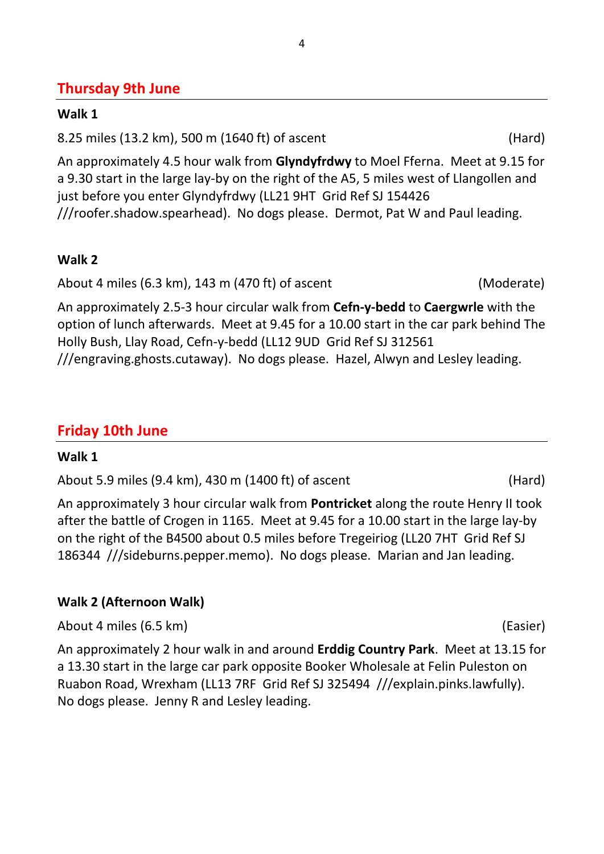# **Thursday 9th June**

#### **Walk 1**

8.25 miles (13.2 km), 500 m (1640 ft) of ascent (Hard)

An approximately 4.5 hour walk from **Glyndyfrdwy** to Moel Fferna. Meet at 9.15 for a 9.30 start in the large lay-by on the right of the A5, 5 miles west of Llangollen and just before you enter Glyndyfrdwy (LL21 9HT Grid Ref SJ 154426 ///roofer.shadow.spearhead). No dogs please. Dermot, Pat W and Paul leading.

# **Walk 2**

About 4 miles (6.3 km), 143 m (470 ft) of ascent (Moderate)

An approximately 2.5-3 hour circular walk from **Cefn-y-bedd** to **Caergwrle** with the option of lunch afterwards. Meet at 9.45 for a 10.00 start in the car park behind The Holly Bush, Llay Road, Cefn-y-bedd (LL12 9UD Grid Ref SJ 312561 ///engraving.ghosts.cutaway). No dogs please. Hazel, Alwyn and Lesley leading.

# **Friday 10th June**

# **Walk 1**

About 5.9 miles (9.4 km), 430 m (1400 ft) of ascent (Hard)

An approximately 3 hour circular walk from **Pontricket** along the route Henry II took after the battle of Crogen in 1165. Meet at 9.45 for a 10.00 start in the large lay-by on the right of the B4500 about 0.5 miles before Tregeiriog (LL20 7HT Grid Ref SJ 186344 ///sideburns.pepper.memo). No dogs please. Marian and Jan leading.

# **Walk 2 (Afternoon Walk)**

About 4 miles (6.5 km) (Easier)

An approximately 2 hour walk in and around **Erddig Country Park**. Meet at 13.15 for a 13.30 start in the large car park opposite Booker Wholesale at Felin Puleston on Ruabon Road, Wrexham (LL13 7RF Grid Ref SJ 325494 ///explain.pinks.lawfully). No dogs please. Jenny R and Lesley leading.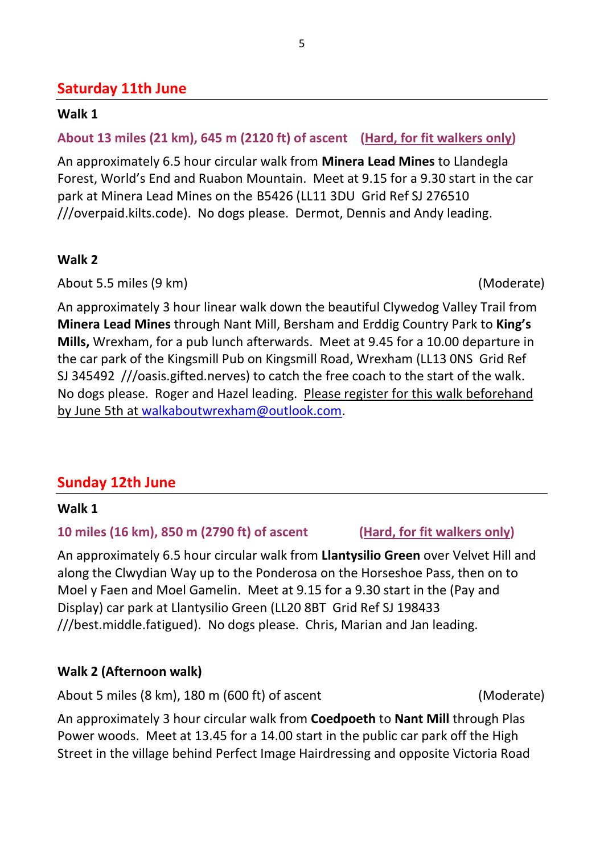# **Saturday 11th June**

#### **Walk 1**

# **About 13 miles (21 km), 645 m (2120 ft) of ascent (Hard, for fit walkers only)**

An approximately 6.5 hour circular walk from **Minera Lead Mines** to Llandegla Forest, World's End and Ruabon Mountain. Meet at 9.15 for a 9.30 start in the car park at Minera Lead Mines on the B5426 (LL11 3DU Grid Ref SJ 276510 ///overpaid.kilts.code). No dogs please. Dermot, Dennis and Andy leading.

#### **Walk 2**

About 5.5 miles (9 km) (Moderate)

An approximately 3 hour linear walk down the beautiful Clywedog Valley Trail from **Minera Lead Mines** through Nant Mill, Bersham and Erddig Country Park to **King's Mills,** Wrexham, for a pub lunch afterwards. Meet at 9.45 for a 10.00 departure in the car park of the Kingsmill Pub on Kingsmill Road, Wrexham (LL13 0NS Grid Ref SJ 345492 ///oasis.gifted.nerves) to catch the free coach to the start of the walk. No dogs please. Roger and Hazel leading. Please register for this walk beforehand by June 5th at [walkaboutwrexham@outlook.com.](mailto:walkaboutwrexham@outlook.com)

# **Sunday 12th June**

#### **Walk 1**

#### **10 miles (16 km), 850 m (2790 ft) of ascent (Hard, for fit walkers only)**

An approximately 6.5 hour circular walk from **Llantysilio Green** over Velvet Hill and along the Clwydian Way up to the Ponderosa on the Horseshoe Pass, then on to Moel y Faen and Moel Gamelin. Meet at 9.15 for a 9.30 start in the (Pay and Display) car park at Llantysilio Green (LL20 8BT Grid Ref SJ 198433 ///best.middle.fatigued). No dogs please. Chris, Marian and Jan leading.

# **Walk 2 (Afternoon walk)**

About 5 miles (8 km), 180 m (600 ft) of ascent (Moderate)

An approximately 3 hour circular walk from **Coedpoeth** to **Nant Mill** through Plas Power woods. Meet at 13.45 for a 14.00 start in the public car park off the High Street in the village behind Perfect Image Hairdressing and opposite Victoria Road

5